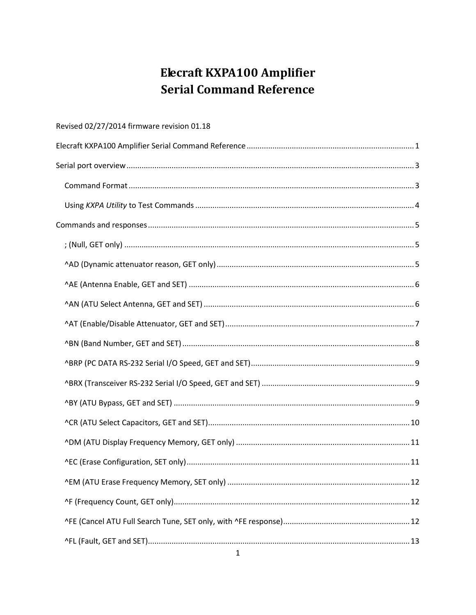# Elecraft KXPA100 Amplifier **Serial Command Reference**

<span id="page-0-0"></span>

| Revised 02/27/2014 firmware revision 01.18 |
|--------------------------------------------|
|                                            |
|                                            |
|                                            |
|                                            |
|                                            |
|                                            |
|                                            |
|                                            |
|                                            |
|                                            |
|                                            |
|                                            |
|                                            |
|                                            |
|                                            |
|                                            |
|                                            |
|                                            |
|                                            |
|                                            |
|                                            |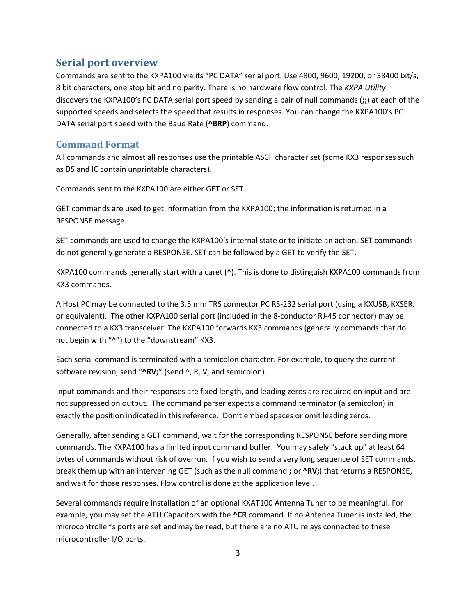### <span id="page-2-0"></span>**Serial port overview**

Commands are sent to the KXPA100 via its "PC DATA" serial port. Use 4800, 9600, 19200, or 38400 bit/s, 8 bit characters, one stop bit and no parity. There is no hardware flow control. The *KXPA Utility* discovers the KXPA100's PC DATA serial port speed by sending a pair of null commands (**;;**) at each of the supported speeds and selects the speed that results in responses. You can change the KXPA100's PC DATA serial port speed with the Baud Rate (**^BRP**) command.

#### <span id="page-2-1"></span>**Command Format**

All commands and almost all responses use the printable ASCII character set (some KX3 responses such as DS and IC contain unprintable characters).

Commands sent to the KXPA100 are either GET or SET.

GET commands are used to get information from the KXPA100; the information is returned in a RESPONSE message.

SET commands are used to change the KXPA100's internal state or to initiate an action. SET commands do not generally generate a RESPONSE. SET can be followed by a GET to verify the SET.

KXPA100 commands generally start with a caret ( $\land$ ). This is done to distinguish KXPA100 commands from KX3 commands.

A Host PC may be connected to the 3.5 mm TRS connector PC RS-232 serial port (using a KXUSB, KXSER, or equivalent). The other KXPA100 serial port (included in the 8-conductor RJ-45 connector) may be connected to a KX3 transceiver. The KXPA100 forwards KX3 commands (generally commands that do not begin with "^") to the "downstream" KX3.

Each serial command is terminated with a semicolon character. For example, to query the current software revision, send "**^RV;**" (send ^, R, V, and semicolon).

Input commands and their responses are fixed length, and leading zeros are required on input and are not suppressed on output. The command parser expects a command terminator (a semicolon) in exactly the position indicated in this reference. Don't embed spaces or omit leading zeros.

Generally, after sending a GET command, wait for the corresponding RESPONSE before sending more commands. The KXPA100 has a limited input command buffer. You may safely "stack up" at least 64 bytes of commands without risk of overrun. If you wish to send a very long sequence of SET commands, break them up with an intervening GET (such as the null command **;** or **^RV;**) that returns a RESPONSE, and wait for those responses. Flow control is done at the application level.

Several commands require installation of an optional KXAT100 Antenna Tuner to be meaningful. For example, you may set the ATU Capacitors with the **^CR** command. If no Antenna Tuner is installed, the microcontroller's ports are set and may be read, but there are no ATU relays connected to these microcontroller I/O ports.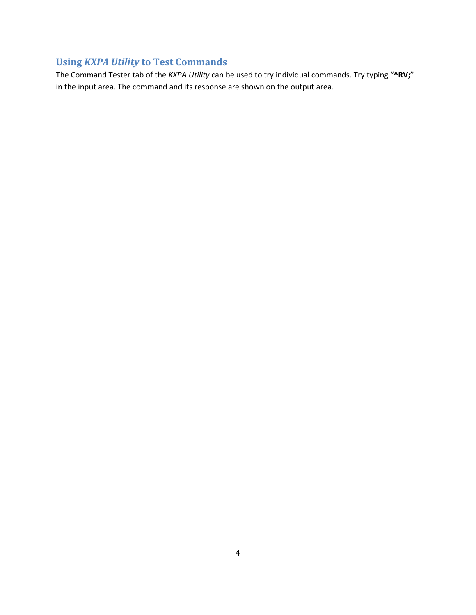# <span id="page-3-0"></span>**Using** *KXPA Utility* **to Test Commands**

The Command Tester tab of the *KXPA Utility* can be used to try individual commands. Try typing "**^RV;**" in the input area. The command and its response are shown on the output area.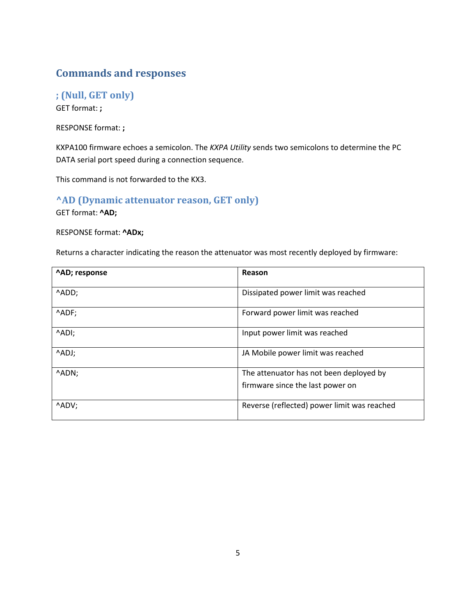# <span id="page-4-0"></span>**Commands and responses**

<span id="page-4-1"></span>**; (Null, GET only)** GET format: **;**

RESPONSE format: **;**

KXPA100 firmware echoes a semicolon. The *KXPA Utility* sends two semicolons to determine the PC DATA serial port speed during a connection sequence.

This command is not forwarded to the KX3.

### <span id="page-4-2"></span>**^AD (Dynamic attenuator reason, GET only)**

GET format: **^AD;**

#### RESPONSE format: **^ADx;**

Returns a character indicating the reason the attenuator was most recently deployed by firmware:

| ^AD; response | Reason                                      |
|---------------|---------------------------------------------|
| ^ADD;         | Dissipated power limit was reached          |
| ^ADF;         | Forward power limit was reached             |
| ^ADI;         | Input power limit was reached               |
| ^ADJ;         | JA Mobile power limit was reached           |
| ^ADN;         | The attenuator has not been deployed by     |
|               | firmware since the last power on            |
| ^ADV;         | Reverse (reflected) power limit was reached |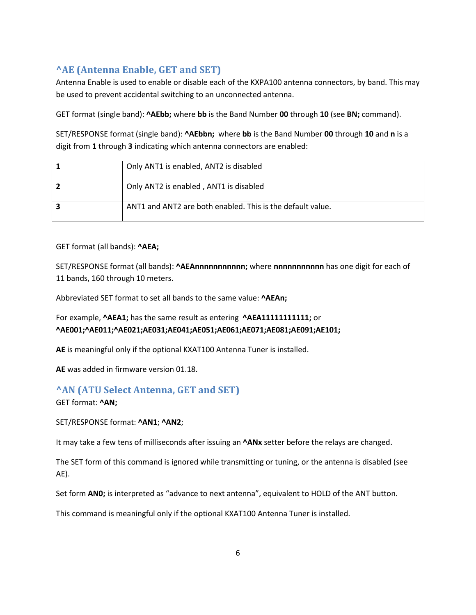# <span id="page-5-0"></span>**^AE (Antenna Enable, GET and SET)**

Antenna Enable is used to enable or disable each of the KXPA100 antenna connectors, by band. This may be used to prevent accidental switching to an unconnected antenna.

GET format (single band): **^AEbb;** where **bb** is the Band Number **00** through **10** (see **BN;** command).

SET/RESPONSE format (single band): **^AEbbn;** where **bb** is the Band Number **00** through **10** and **n** is a digit from **1** through **3** indicating which antenna connectors are enabled:

| Only ANT1 is enabled, ANT2 is disabled                     |
|------------------------------------------------------------|
| Only ANT2 is enabled, ANT1 is disabled                     |
| ANT1 and ANT2 are both enabled. This is the default value. |

#### GET format (all bands): **^AEA;**

SET/RESPONSE format (all bands): **^AEAnnnnnnnnnnn;** where **nnnnnnnnnnn** has one digit for each of 11 bands, 160 through 10 meters.

Abbreviated SET format to set all bands to the same value: **^AEAn;**

For example, **^AEA1;** has the same result as entering **^AEA11111111111;** or **^AE001;^AE011;^AE021;AE031;AE041;AE051;AE061;AE071;AE081;AE091;AE101;**

**AE** is meaningful only if the optional KXAT100 Antenna Tuner is installed.

**AE** was added in firmware version 01.18.

# <span id="page-5-1"></span>**^AN (ATU Select Antenna, GET and SET)**

GET format: **^AN;**

SET/RESPONSE format: **^AN1**; **^AN2**;

It may take a few tens of milliseconds after issuing an **^ANx** setter before the relays are changed.

The SET form of this command is ignored while transmitting or tuning, or the antenna is disabled (see AE).

Set form **AN0;** is interpreted as "advance to next antenna", equivalent to HOLD of the ANT button.

This command is meaningful only if the optional KXAT100 Antenna Tuner is installed.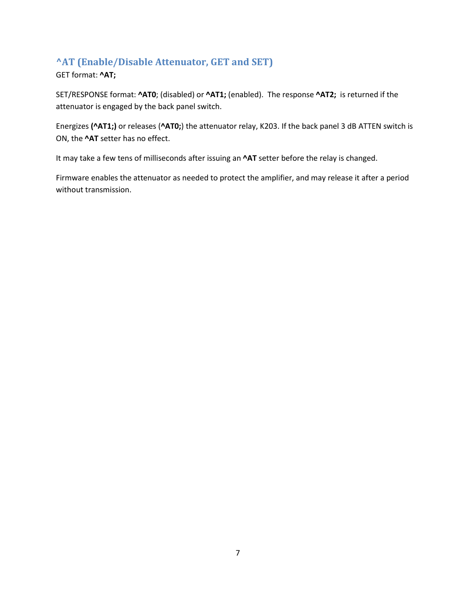# <span id="page-6-0"></span>**^AT (Enable/Disable Attenuator, GET and SET)**

GET format: **^AT;**

SET/RESPONSE format: **^AT0**; (disabled) or **^AT1;** (enabled). The response **^AT2;** is returned if the attenuator is engaged by the back panel switch.

Energizes **(^AT1;)** or releases (**^AT0;**) the attenuator relay, K203. If the back panel 3 dB ATTEN switch is ON, the **^AT** setter has no effect.

It may take a few tens of milliseconds after issuing an **^AT** setter before the relay is changed.

Firmware enables the attenuator as needed to protect the amplifier, and may release it after a period without transmission.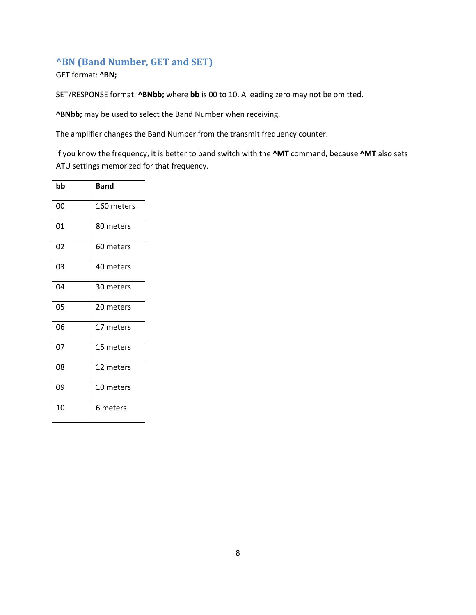# <span id="page-7-0"></span>**^BN (Band Number, GET and SET)**

GET format: **^BN;**

SET/RESPONSE format: **^BNbb;** where **bb** is 00 to 10. A leading zero may not be omitted.

**^BNbb;** may be used to select the Band Number when receiving.

The amplifier changes the Band Number from the transmit frequency counter.

If you know the frequency, it is better to band switch with the **^MT** command, because **^MT** also sets ATU settings memorized for that frequency.

| bb | Band       |
|----|------------|
| 00 | 160 meters |
| 01 | 80 meters  |
| 02 | 60 meters  |
| 03 | 40 meters  |
| 04 | 30 meters  |
| 05 | 20 meters  |
| 06 | 17 meters  |
| 07 | 15 meters  |
| 08 | 12 meters  |
| 09 | 10 meters  |
| 10 | 6 meters   |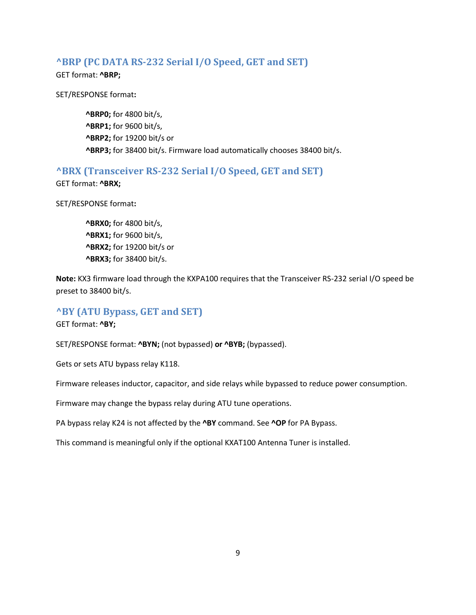#### <span id="page-8-0"></span>**^BRP (PC DATA RS-232 Serial I/O Speed, GET and SET)**

GET format: **^BRP;**

SET/RESPONSE format**:**

**^BRP0;** for 4800 bit/s, **^BRP1;** for 9600 bit/s, **^BRP2;** for 19200 bit/s or **^BRP3;** for 38400 bit/s. Firmware load automatically chooses 38400 bit/s.

#### <span id="page-8-1"></span>**^BRX (Transceiver RS-232 Serial I/O Speed, GET and SET)**

GET format: **^BRX;**

SET/RESPONSE format**:**

**^BRX0;** for 4800 bit/s, **^BRX1;** for 9600 bit/s, **^BRX2;** for 19200 bit/s or **^BRX3;** for 38400 bit/s.

**Note:** KX3 firmware load through the KXPA100 requires that the Transceiver RS-232 serial I/O speed be preset to 38400 bit/s.

#### <span id="page-8-2"></span>**^BY (ATU Bypass, GET and SET)**

GET format: **^BY;**

SET/RESPONSE format: **^BYN;** (not bypassed) **or ^BYB;** (bypassed).

Gets or sets ATU bypass relay K118.

Firmware releases inductor, capacitor, and side relays while bypassed to reduce power consumption.

Firmware may change the bypass relay during ATU tune operations.

PA bypass relay K24 is not affected by the **^BY** command. See **^OP** for PA Bypass.

This command is meaningful only if the optional KXAT100 Antenna Tuner is installed.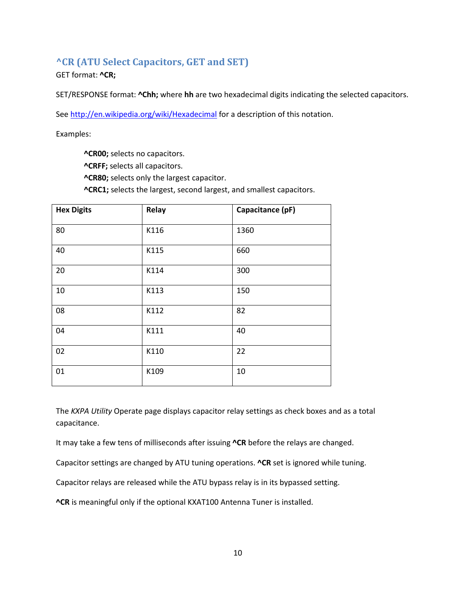## <span id="page-9-0"></span>**^CR (ATU Select Capacitors, GET and SET)**

GET format: **^CR;**

SET/RESPONSE format: **^Chh;** where **hh** are two hexadecimal digits indicating the selected capacitors.

Se[e http://en.wikipedia.org/wiki/Hexadecimal](http://en.wikipedia.org/wiki/Hexadecimal) for a description of this notation.

Examples:

**^CR00;** selects no capacitors. **^CRFF;** selects all capacitors. **^CR80;** selects only the largest capacitor. **^CRC1;** selects the largest, second largest, and smallest capacitors.

| <b>Hex Digits</b> | Relay | Capacitance (pF) |
|-------------------|-------|------------------|
| 80                | K116  | 1360             |
| 40                | K115  | 660              |
| 20                | K114  | 300              |
| 10                | K113  | 150              |
| 08                | K112  | 82               |
| 04                | K111  | 40               |
| 02                | K110  | 22               |
| 01                | K109  | 10               |

The *KXPA Utility* Operate page displays capacitor relay settings as check boxes and as a total capacitance.

It may take a few tens of milliseconds after issuing **^CR** before the relays are changed.

Capacitor settings are changed by ATU tuning operations. **^CR** set is ignored while tuning.

Capacitor relays are released while the ATU bypass relay is in its bypassed setting.

**^CR** is meaningful only if the optional KXAT100 Antenna Tuner is installed.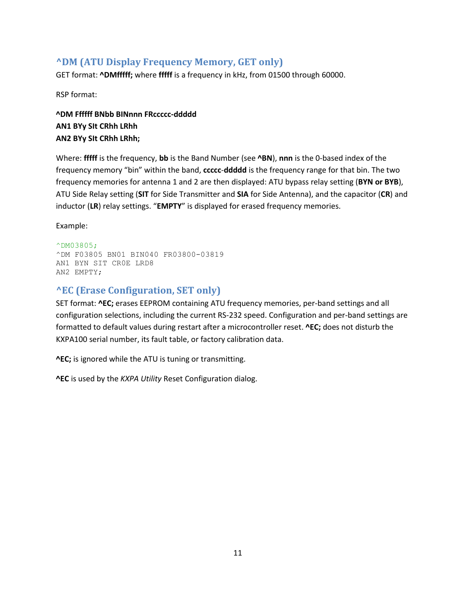### <span id="page-10-0"></span>**^DM (ATU Display Frequency Memory, GET only)**

GET format: **^DMfffff;** where **fffff** is a frequency in kHz, from 01500 through 60000.

RSP format:

**^DM Ffffff BNbb BINnnn FRccccc-ddddd AN1 BYy SIt CRhh LRhh AN2 BYy SIt CRhh LRhh;**

Where: **fffff** is the frequency, **bb** is the Band Number (see **^BN**), **nnn** is the 0-based index of the frequency memory "bin" within the band, **ccccc**-**ddddd** is the frequency range for that bin. The two frequency memories for antenna 1 and 2 are then displayed: ATU bypass relay setting (**BYN or BYB**), ATU Side Relay setting (**SIT** for Side Transmitter and **SIA** for Side Antenna), and the capacitor (**CR**) and inductor (**LR**) relay settings. "**EMPTY**" is displayed for erased frequency memories.

Example:

```
^DM03805;
^DM F03805 BN01 BIN040 FR03800-03819
AN1 BYN SIT CR0E LRD8
AN2 EMPTY;
```
### <span id="page-10-1"></span>**^EC (Erase Configuration, SET only)**

SET format: **^EC;** erases EEPROM containing ATU frequency memories, per-band settings and all configuration selections, including the current RS-232 speed. Configuration and per-band settings are formatted to default values during restart after a microcontroller reset. **^EC;** does not disturb the KXPA100 serial number, its fault table, or factory calibration data.

**^EC;** is ignored while the ATU is tuning or transmitting.

**^EC** is used by the *KXPA Utility* Reset Configuration dialog.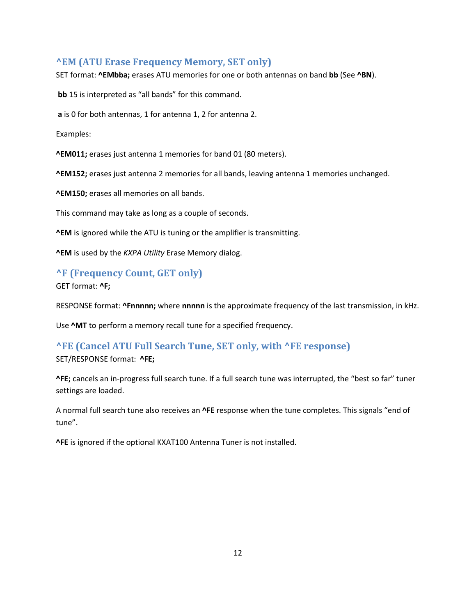### <span id="page-11-0"></span>**^EM (ATU Erase Frequency Memory, SET only)**

SET format: **^EMbba;** erases ATU memories for one or both antennas on band **bb** (See **^BN**).

**bb** 15 is interpreted as "all bands" for this command.

**a** is 0 for both antennas, 1 for antenna 1, 2 for antenna 2.

Examples:

**^EM011;** erases just antenna 1 memories for band 01 (80 meters).

**^EM152;** erases just antenna 2 memories for all bands, leaving antenna 1 memories unchanged.

**^EM150;** erases all memories on all bands.

This command may take as long as a couple of seconds.

**^EM** is ignored while the ATU is tuning or the amplifier is transmitting.

**^EM** is used by the *KXPA Utility* Erase Memory dialog.

### <span id="page-11-1"></span>**^F (Frequency Count, GET only)**

GET format: **^F;**

RESPONSE format: **^Fnnnnn;** where **nnnnn** is the approximate frequency of the last transmission, in kHz.

Use **^MT** to perform a memory recall tune for a specified frequency.

## <span id="page-11-2"></span>**^FE (Cancel ATU Full Search Tune, SET only, with ^FE response)**

SET/RESPONSE format: **^FE;**

**^FE;** cancels an in-progress full search tune. If a full search tune was interrupted, the "best so far" tuner settings are loaded.

A normal full search tune also receives an **^FE** response when the tune completes. This signals "end of tune".

**^FE** is ignored if the optional KXAT100 Antenna Tuner is not installed.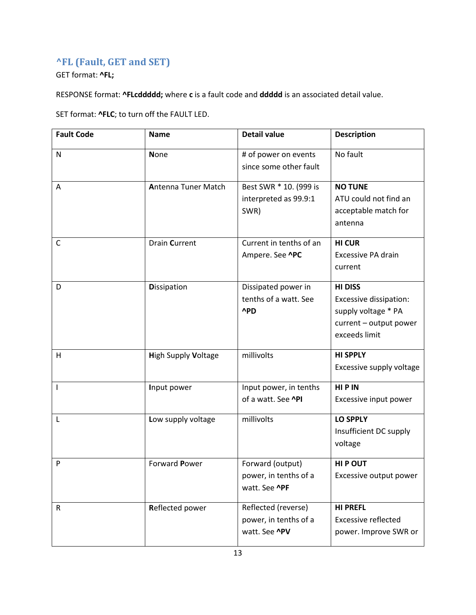# <span id="page-12-0"></span>**^FL (Fault, GET and SET)**

GET format: **^FL;**

RESPONSE format: **^FLcddddd;** where **c** is a fault code and **ddddd** is an associated detail value.

SET format: **^FLC**; to turn off the FAULT LED.

| <b>Fault Code</b> | <b>Name</b>                | <b>Detail value</b>                                                  | <b>Description</b>                                                                                         |
|-------------------|----------------------------|----------------------------------------------------------------------|------------------------------------------------------------------------------------------------------------|
| N                 | <b>None</b>                | # of power on events<br>since some other fault                       | No fault                                                                                                   |
| Α                 | <b>Antenna Tuner Match</b> | Best SWR * 10. (999 is<br>interpreted as 99.9:1<br>SWR)              | <b>NO TUNE</b><br>ATU could not find an<br>acceptable match for<br>antenna                                 |
| C                 | <b>Drain Current</b>       | Current in tenths of an<br>Ampere. See ^PC                           | <b>HI CUR</b><br>Excessive PA drain<br>current                                                             |
| D                 | <b>Dissipation</b>         | Dissipated power in<br>tenths of a watt. See<br>^PD                  | <b>HI DISS</b><br>Excessive dissipation:<br>supply voltage * PA<br>current - output power<br>exceeds limit |
| H                 | <b>High Supply Voltage</b> | millivolts                                                           | <b>HI SPPLY</b><br>Excessive supply voltage                                                                |
| T                 | Input power                | Input power, in tenths<br>of a watt. See <b>^PI</b>                  | HIP IN<br>Excessive input power                                                                            |
| L                 | Low supply voltage         | millivolts                                                           | <b>LO SPPLY</b><br>Insufficient DC supply<br>voltage                                                       |
| P                 | Forward Power              | Forward (output)<br>power, in tenths of a<br>watt. See <b>^PF</b>    | <b>HIP OUT</b><br>Excessive output power                                                                   |
| $\mathsf R$       | Reflected power            | Reflected (reverse)<br>power, in tenths of a<br>watt. See <b>^PV</b> | <b>HI PREFL</b><br><b>Excessive reflected</b><br>power. Improve SWR or                                     |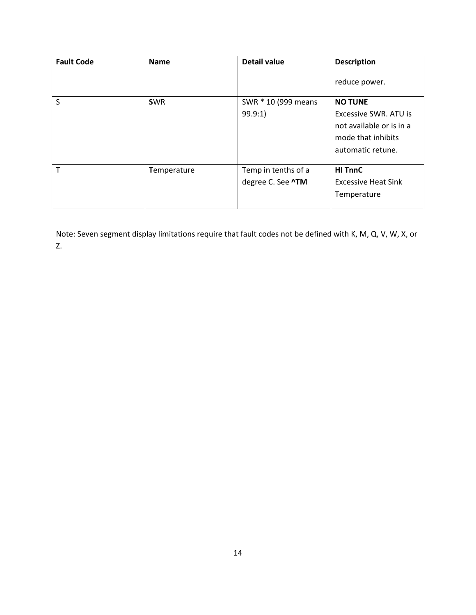| <b>Fault Code</b> | <b>Name</b> | <b>Detail value</b>      | <b>Description</b>           |
|-------------------|-------------|--------------------------|------------------------------|
|                   |             |                          | reduce power.                |
| S                 | <b>SWR</b>  | SWR * 10 (999 means      | <b>NO TUNE</b>               |
|                   |             | 99.9:1)                  | <b>Excessive SWR. ATU is</b> |
|                   |             |                          | not available or is in a     |
|                   |             |                          | mode that inhibits           |
|                   |             |                          | automatic retune.            |
|                   |             |                          |                              |
|                   | Temperature | Temp in tenths of a      | <b>HI TnnC</b>               |
|                   |             | degree C. See <b>^TM</b> | <b>Excessive Heat Sink</b>   |
|                   |             |                          | Temperature                  |
|                   |             |                          |                              |

Note: Seven segment display limitations require that fault codes not be defined with K, M, Q, V, W, X, or Z.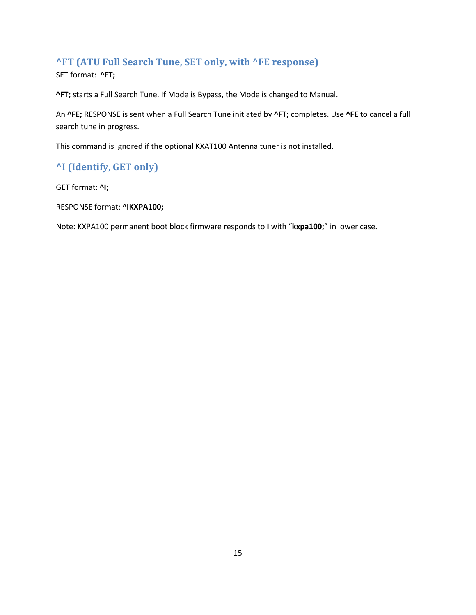# <span id="page-14-0"></span>**^FT (ATU Full Search Tune, SET only, with ^FE response)**

SET format: **^FT;**

**^FT;** starts a Full Search Tune. If Mode is Bypass, the Mode is changed to Manual.

An **^FE;** RESPONSE is sent when a Full Search Tune initiated by **^FT;** completes. Use **^FE** to cancel a full search tune in progress.

This command is ignored if the optional KXAT100 Antenna tuner is not installed.

# <span id="page-14-1"></span>**^I (Identify, GET only)**

GET format: **^I;**

RESPONSE format: **^IKXPA100;**

Note: KXPA100 permanent boot block firmware responds to **I** with "**kxpa100;**" in lower case.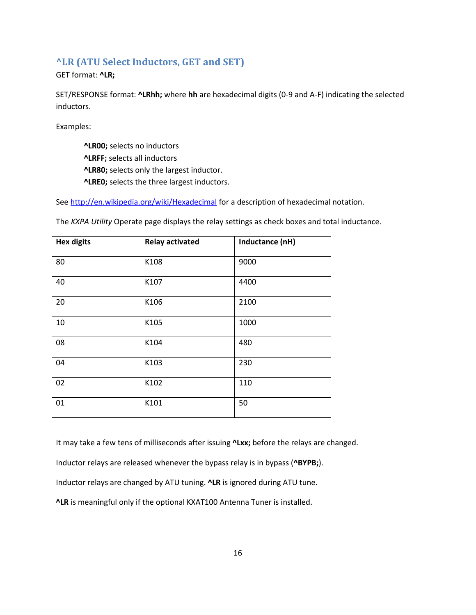## <span id="page-15-0"></span>**^LR (ATU Select Inductors, GET and SET)**

GET format: **^LR;**

SET/RESPONSE format: **^LRhh;** where **hh** are hexadecimal digits (0-9 and A-F) indicating the selected inductors.

Examples:

**^LR00;** selects no inductors **^LRFF;** selects all inductors **^LR80;** selects only the largest inductor. **^LRE0;** selects the three largest inductors.

Se[e http://en.wikipedia.org/wiki/Hexadecimal](http://en.wikipedia.org/wiki/Hexadecimal) for a description of hexadecimal notation.

| <b>Hex digits</b> | <b>Relay activated</b> | Inductance (nH) |
|-------------------|------------------------|-----------------|
| 80                | K108                   | 9000            |
| 40                | K107                   | 4400            |
| 20                | K106                   | 2100            |
| 10                | K105                   | 1000            |
| 08                | K104                   | 480             |
| 04                | K103                   | 230             |
| 02                | K102                   | 110             |
| 01                | K101                   | 50              |

The *KXPA Utility* Operate page displays the relay settings as check boxes and total inductance.

It may take a few tens of milliseconds after issuing **^Lxx;** before the relays are changed.

Inductor relays are released whenever the bypass relay is in bypass (**^BYPB;**).

Inductor relays are changed by ATU tuning. **^LR** is ignored during ATU tune.

**^LR** is meaningful only if the optional KXAT100 Antenna Tuner is installed.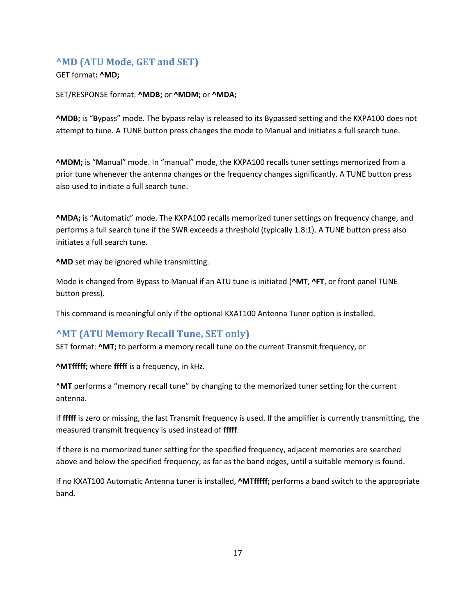### <span id="page-16-0"></span>**^MD (ATU Mode, GET and SET)**

#### GET format**: ^MD;**

#### SET/RESPONSE format: **^MDB;** or **^MDM;** or **^MDA;**

**^MDB;** is "**B**ypass" mode. The bypass relay is released to its Bypassed setting and the KXPA100 does not attempt to tune. A TUNE button press changes the mode to Manual and initiates a full search tune.

**^MDM;** is "**M**anual" mode. In "manual" mode, the KXPA100 recalls tuner settings memorized from a prior tune whenever the antenna changes or the frequency changes significantly. A TUNE button press also used to initiate a full search tune.

**^MDA;** is "**A**utomatic" mode. The KXPA100 recalls memorized tuner settings on frequency change, and performs a full search tune if the SWR exceeds a threshold (typically 1.8:1). A TUNE button press also initiates a full search tune.

**^MD** set may be ignored while transmitting.

Mode is changed from Bypass to Manual if an ATU tune is initiated (**^MT**, **^FT**, or front panel TUNE button press).

This command is meaningful only if the optional KXAT100 Antenna Tuner option is installed.

## <span id="page-16-1"></span>**^MT (ATU Memory Recall Tune, SET only)**

SET format: **^MT;** to perform a memory recall tune on the current Transmit frequency, or

**^MTfffff;** where **fffff** is a frequency, in kHz.

^**MT** performs a "memory recall tune" by changing to the memorized tuner setting for the current antenna.

If **fffff** is zero or missing, the last Transmit frequency is used. If the amplifier is currently transmitting, the measured transmit frequency is used instead of **fffff**.

If there is no memorized tuner setting for the specified frequency, adjacent memories are searched above and below the specified frequency, as far as the band edges, until a suitable memory is found.

If no KXAT100 Automatic Antenna tuner is installed, **^MTfffff;** performs a band switch to the appropriate band.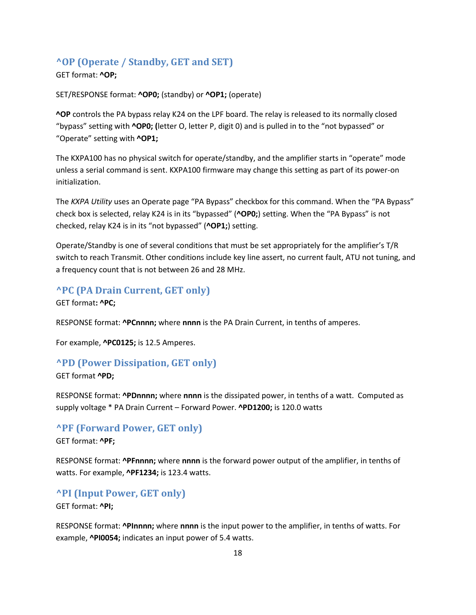### <span id="page-17-0"></span>**^OP (Operate / Standby, GET and SET)**

#### GET format: **^OP;**

SET/RESPONSE format: **^OP0;** (standby) or **^OP1;** (operate)

**^OP** controls the PA bypass relay K24 on the LPF board. The relay is released to its normally closed "bypass" setting with **^OP0; (**letter O, letter P, digit 0) and is pulled in to the "not bypassed" or "Operate" setting with **^OP1;**

The KXPA100 has no physical switch for operate/standby, and the amplifier starts in "operate" mode unless a serial command is sent. KXPA100 firmware may change this setting as part of its power-on initialization.

The *KXPA Utility* uses an Operate page "PA Bypass" checkbox for this command. When the "PA Bypass" check box is selected, relay K24 is in its "bypassed" (**^OP0;**) setting. When the "PA Bypass" is not checked, relay K24 is in its "not bypassed" (**^OP1;**) setting.

Operate/Standby is one of several conditions that must be set appropriately for the amplifier's T/R switch to reach Transmit. Other conditions include key line assert, no current fault, ATU not tuning, and a frequency count that is not between 26 and 28 MHz.

### <span id="page-17-1"></span>**^PC (PA Drain Current, GET only)**

GET format**: ^PC;**

RESPONSE format: **^PCnnnn;** where **nnnn** is the PA Drain Current, in tenths of amperes.

For example, **^PC0125;** is 12.5 Amperes.

#### <span id="page-17-2"></span>**^PD (Power Dissipation, GET only)**

GET format **^PD;**

RESPONSE format: **^PDnnnn;** where **nnnn** is the dissipated power, in tenths of a watt. Computed as supply voltage \* PA Drain Current – Forward Power. **^PD1200;** is 120.0 watts

#### <span id="page-17-3"></span>**^PF (Forward Power, GET only)**

GET format: **^PF;**

RESPONSE format: **^PFnnnn;** where **nnnn** is the forward power output of the amplifier, in tenths of watts. For example, **^PF1234;** is 123.4 watts.

#### <span id="page-17-4"></span>**^PI (Input Power, GET only)**

GET format: **^PI;**

RESPONSE format: **^PInnnn;** where **nnnn** is the input power to the amplifier, in tenths of watts. For example, **^PI0054;** indicates an input power of 5.4 watts.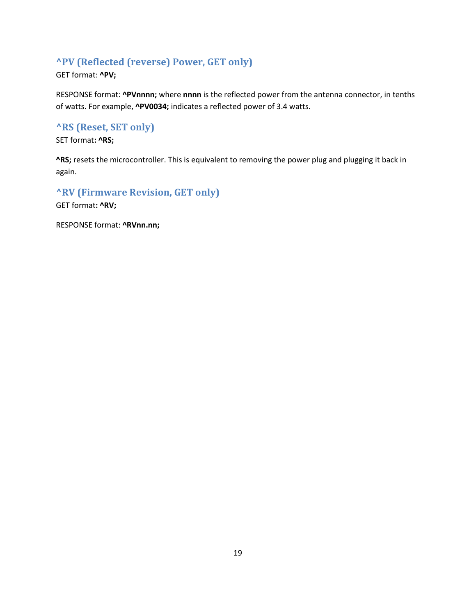# <span id="page-18-0"></span>**^PV (Reflected (reverse) Power, GET only)**

GET format: **^PV;**

RESPONSE format: **^PVnnnn;** where **nnnn** is the reflected power from the antenna connector, in tenths of watts. For example, **^PV0034;** indicates a reflected power of 3.4 watts.

# <span id="page-18-1"></span>**^RS (Reset, SET only)**

SET format**: ^RS;**

**^RS;** resets the microcontroller. This is equivalent to removing the power plug and plugging it back in again.

<span id="page-18-2"></span>**^RV (Firmware Revision, GET only)**

GET format**: ^RV;**

RESPONSE format: **^RVnn.nn;**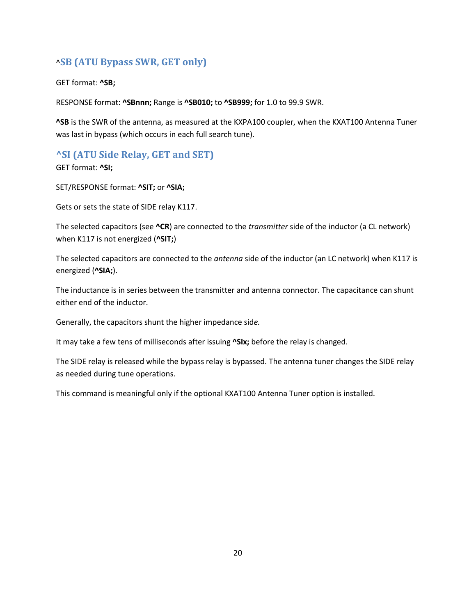# ^**SB (ATU Bypass SWR, GET only)**

GET format: **^SB;**

RESPONSE format: **^SBnnn;** Range is **^SB010;** to **^SB999;** for 1.0 to 99.9 SWR.

**^SB** is the SWR of the antenna, as measured at the KXPA100 coupler, when the KXAT100 Antenna Tuner was last in bypass (which occurs in each full search tune).

## <span id="page-19-0"></span>**^SI (ATU Side Relay, GET and SET)**

GET format: **^SI;**

SET/RESPONSE format: **^SIT;** or **^SIA;**

Gets or sets the state of SIDE relay K117.

The selected capacitors (see **^CR**) are connected to the *transmitter* side of the inductor (a CL network) when K117 is not energized (**^SIT;**)

The selected capacitors are connected to the *antenna* side of the inductor (an LC network) when K117 is energized (**^SIA;**).

The inductance is in series between the transmitter and antenna connector. The capacitance can shunt either end of the inductor.

Generally, the capacitors shunt the higher impedance sid*e.*

It may take a few tens of milliseconds after issuing **^SIx;** before the relay is changed.

The SIDE relay is released while the bypass relay is bypassed. The antenna tuner changes the SIDE relay as needed during tune operations.

This command is meaningful only if the optional KXAT100 Antenna Tuner option is installed.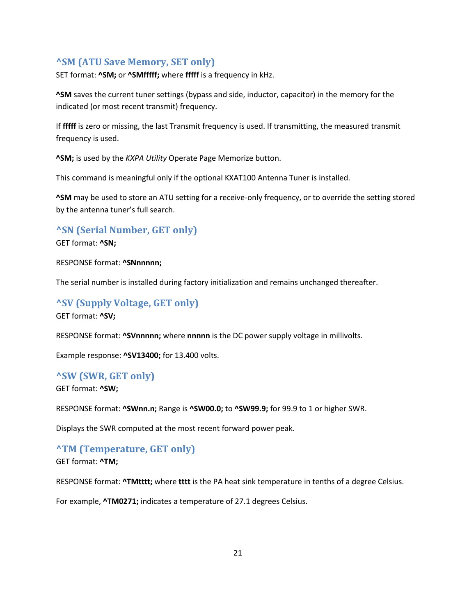### <span id="page-20-0"></span>**^SM (ATU Save Memory, SET only)**

SET format: **^SM;** or **^SMfffff;** where **fffff** is a frequency in kHz.

**^SM** saves the current tuner settings (bypass and side, inductor, capacitor) in the memory for the indicated (or most recent transmit) frequency.

If **fffff** is zero or missing, the last Transmit frequency is used. If transmitting, the measured transmit frequency is used.

**^SM;** is used by the *KXPA Utility* Operate Page Memorize button.

This command is meaningful only if the optional KXAT100 Antenna Tuner is installed.

**^SM** may be used to store an ATU setting for a receive-only frequency, or to override the setting stored by the antenna tuner's full search.

#### <span id="page-20-1"></span>**^SN (Serial Number, GET only)**

GET format: **^SN;**

RESPONSE format: **^SNnnnnn;**

The serial number is installed during factory initialization and remains unchanged thereafter.

### <span id="page-20-2"></span>**^SV (Supply Voltage, GET only)** GET format: **^SV;**

RESPONSE format: **^SVnnnnn;** where **nnnnn** is the DC power supply voltage in millivolts.

Example response: **^SV13400;** for 13.400 volts.

#### <span id="page-20-3"></span>**^SW (SWR, GET only)**

GET format: **^SW;**

RESPONSE format: **^SWnn.n;** Range is **^SW00.0;** to **^SW99.9;** for 99.9 to 1 or higher SWR.

Displays the SWR computed at the most recent forward power peak.

#### <span id="page-20-4"></span>**^TM (Temperature, GET only)**

GET format: **^TM;**

RESPONSE format: **^TMtttt;** where **tttt** is the PA heat sink temperature in tenths of a degree Celsius.

For example, **^TM0271;** indicates a temperature of 27.1 degrees Celsius.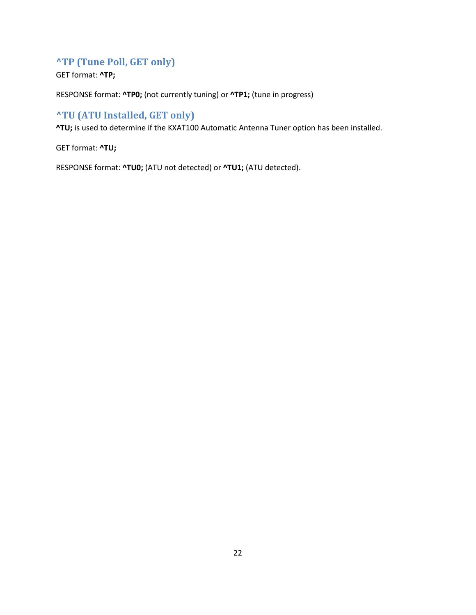# <span id="page-21-0"></span>**^TP (Tune Poll, GET only)**

GET format: **^TP;**

RESPONSE format: **^TP0;** (not currently tuning) or **^TP1;** (tune in progress)

# <span id="page-21-1"></span>**^TU (ATU Installed, GET only)**

**^TU;** is used to determine if the KXAT100 Automatic Antenna Tuner option has been installed.

GET format: **^TU;**

RESPONSE format: **^TU0;** (ATU not detected) or **^TU1;** (ATU detected).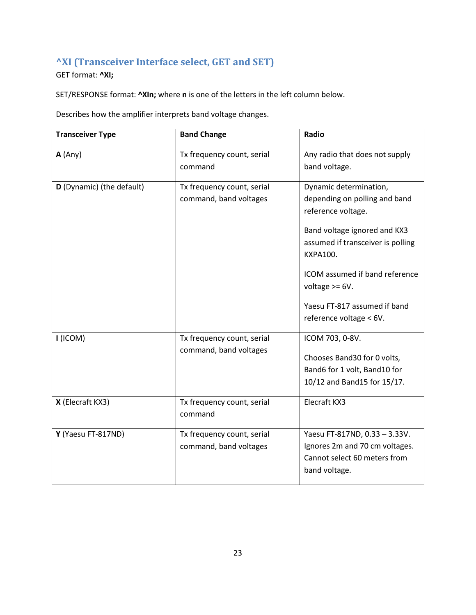# <span id="page-22-0"></span>**^XI (Transceiver Interface select, GET and SET)**

GET format: **^XI;**

SET/RESPONSE format: **^XIn;** where **n** is one of the letters in the left column below.

Describes how the amplifier interprets band voltage changes.

| <b>Transceiver Type</b>   | <b>Band Change</b>                                   | Radio                                                                                                                                                                 |
|---------------------------|------------------------------------------------------|-----------------------------------------------------------------------------------------------------------------------------------------------------------------------|
| A(Any)                    | Tx frequency count, serial                           | Any radio that does not supply                                                                                                                                        |
|                           | command                                              | band voltage.                                                                                                                                                         |
| D (Dynamic) (the default) | Tx frequency count, serial<br>command, band voltages | Dynamic determination,<br>depending on polling and band<br>reference voltage.<br>Band voltage ignored and KX3<br>assumed if transceiver is polling<br><b>KXPA100.</b> |
|                           |                                                      | ICOM assumed if band reference<br>voltage $>= 6V$ .<br>Yaesu FT-817 assumed if band<br>reference voltage < 6V.                                                        |
| I (ICOM)                  | Tx frequency count, serial<br>command, band voltages | ICOM 703, 0-8V.<br>Chooses Band30 for 0 volts,<br>Band6 for 1 volt, Band10 for<br>10/12 and Band15 for 15/17.                                                         |
| X (Elecraft KX3)          | Tx frequency count, serial<br>command                | Elecraft KX3                                                                                                                                                          |
| Y (Yaesu FT-817ND)        | Tx frequency count, serial<br>command, band voltages | Yaesu FT-817ND, 0.33 - 3.33V.<br>Ignores 2m and 70 cm voltages.<br>Cannot select 60 meters from<br>band voltage.                                                      |